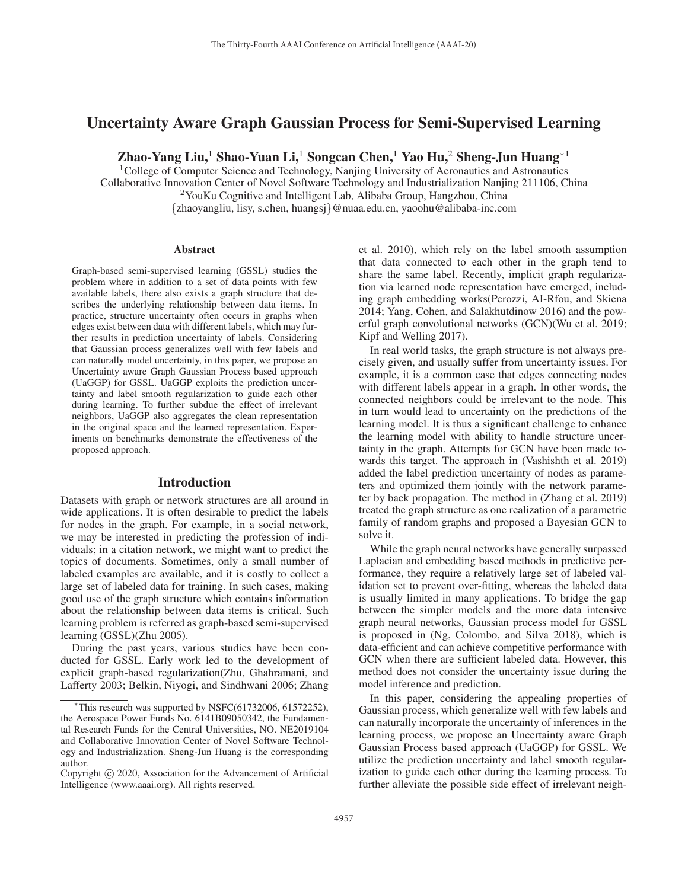# Uncertainty Aware Graph Gaussian Process for Semi-Supervised Learning

Zhao-Yang Liu,<sup>1</sup> Shao-Yuan Li,<sup>1</sup> Songcan Chen,<sup>1</sup> Yao Hu,<sup>2</sup> Sheng-Jun Huang<sup>∗1</sup>

<sup>1</sup>College of Computer Science and Technology, Nanjing University of Aeronautics and Astronautics Collaborative Innovation Center of Novel Software Technology and Industrialization Nanjing 211106, China <sup>2</sup>YouKu Cognitive and Intelligent Lab, Alibaba Group, Hangzhou, China

{zhaoyangliu, lisy, s.chen, huangsj}@nuaa.edu.cn, yaoohu@alibaba-inc.com

## **Abstract**

Graph-based semi-supervised learning (GSSL) studies the problem where in addition to a set of data points with few available labels, there also exists a graph structure that describes the underlying relationship between data items. In practice, structure uncertainty often occurs in graphs when edges exist between data with different labels, which may further results in prediction uncertainty of labels. Considering that Gaussian process generalizes well with few labels and can naturally model uncertainty, in this paper, we propose an Uncertainty aware Graph Gaussian Process based approach (UaGGP) for GSSL. UaGGP exploits the prediction uncertainty and label smooth regularization to guide each other during learning. To further subdue the effect of irrelevant neighbors, UaGGP also aggregates the clean representation in the original space and the learned representation. Experiments on benchmarks demonstrate the effectiveness of the proposed approach.

## Introduction

Datasets with graph or network structures are all around in wide applications. It is often desirable to predict the labels for nodes in the graph. For example, in a social network, we may be interested in predicting the profession of individuals; in a citation network, we might want to predict the topics of documents. Sometimes, only a small number of labeled examples are available, and it is costly to collect a large set of labeled data for training. In such cases, making good use of the graph structure which contains information about the relationship between data items is critical. Such learning problem is referred as graph-based semi-supervised learning (GSSL)(Zhu 2005).

During the past years, various studies have been conducted for GSSL. Early work led to the development of explicit graph-based regularization(Zhu, Ghahramani, and Lafferty 2003; Belkin, Niyogi, and Sindhwani 2006; Zhang et al. 2010), which rely on the label smooth assumption that data connected to each other in the graph tend to share the same label. Recently, implicit graph regularization via learned node representation have emerged, including graph embedding works(Perozzi, AI-Rfou, and Skiena 2014; Yang, Cohen, and Salakhutdinow 2016) and the powerful graph convolutional networks (GCN)(Wu et al. 2019; Kipf and Welling 2017).

In real world tasks, the graph structure is not always precisely given, and usually suffer from uncertainty issues. For example, it is a common case that edges connecting nodes with different labels appear in a graph. In other words, the connected neighbors could be irrelevant to the node. This in turn would lead to uncertainty on the predictions of the learning model. It is thus a significant challenge to enhance the learning model with ability to handle structure uncertainty in the graph. Attempts for GCN have been made towards this target. The approach in (Vashishth et al. 2019) added the label prediction uncertainty of nodes as parameters and optimized them jointly with the network parameter by back propagation. The method in (Zhang et al. 2019) treated the graph structure as one realization of a parametric family of random graphs and proposed a Bayesian GCN to solve it.

While the graph neural networks have generally surpassed Laplacian and embedding based methods in predictive performance, they require a relatively large set of labeled validation set to prevent over-fitting, whereas the labeled data is usually limited in many applications. To bridge the gap between the simpler models and the more data intensive graph neural networks, Gaussian process model for GSSL is proposed in (Ng, Colombo, and Silva 2018), which is data-efficient and can achieve competitive performance with GCN when there are sufficient labeled data. However, this method does not consider the uncertainty issue during the model inference and prediction.

In this paper, considering the appealing properties of Gaussian process, which generalize well with few labels and can naturally incorporate the uncertainty of inferences in the learning process, we propose an Uncertainty aware Graph Gaussian Process based approach (UaGGP) for GSSL. We utilize the prediction uncertainty and label smooth regularization to guide each other during the learning process. To further alleviate the possible side effect of irrelevant neigh-

<sup>∗</sup>This research was supported by NSFC(61732006, 61572252), the Aerospace Power Funds No. 6141B09050342, the Fundamental Research Funds for the Central Universities, NO. NE2019104 and Collaborative Innovation Center of Novel Software Technology and Industrialization. Sheng-Jun Huang is the corresponding author.

Copyright  $\odot$  2020, Association for the Advancement of Artificial Intelligence (www.aaai.org). All rights reserved.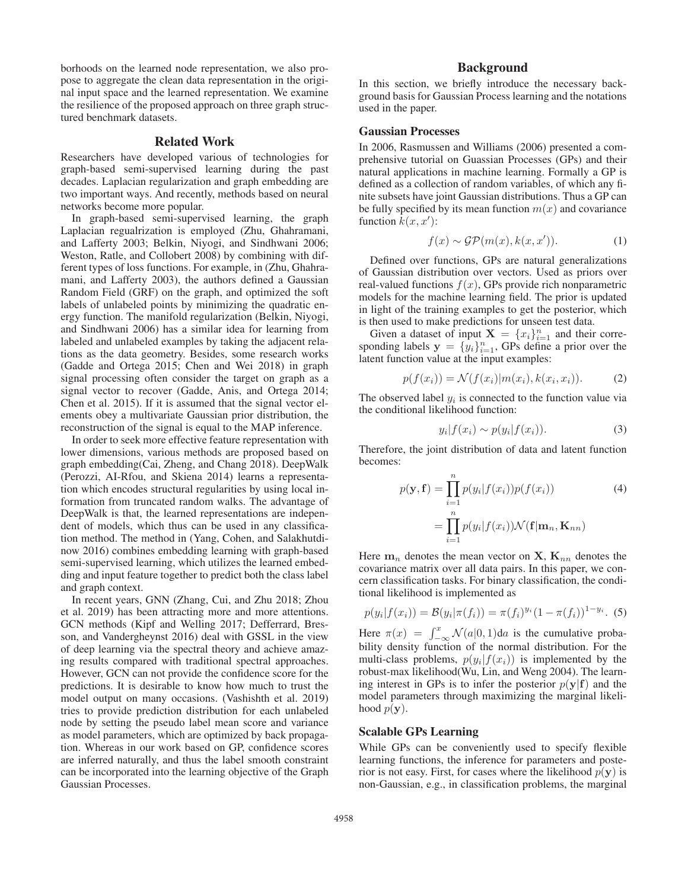borhoods on the learned node representation, we also propose to aggregate the clean data representation in the original input space and the learned representation. We examine the resilience of the proposed approach on three graph structured benchmark datasets.

# Related Work

Researchers have developed various of technologies for graph-based semi-supervised learning during the past decades. Laplacian regularization and graph embedding are two important ways. And recently, methods based on neural networks become more popular.

In graph-based semi-supervised learning, the graph Laplacian regualrization is employed (Zhu, Ghahramani, and Lafferty 2003; Belkin, Niyogi, and Sindhwani 2006; Weston, Ratle, and Collobert 2008) by combining with different types of loss functions. For example, in (Zhu, Ghahramani, and Lafferty 2003), the authors defined a Gaussian Random Field (GRF) on the graph, and optimized the soft labels of unlabeled points by minimizing the quadratic energy function. The manifold regularization (Belkin, Niyogi, and Sindhwani 2006) has a similar idea for learning from labeled and unlabeled examples by taking the adjacent relations as the data geometry. Besides, some research works (Gadde and Ortega 2015; Chen and Wei 2018) in graph signal processing often consider the target on graph as a signal vector to recover (Gadde, Anis, and Ortega 2014; Chen et al. 2015). If it is assumed that the signal vector elements obey a multivariate Gaussian prior distribution, the reconstruction of the signal is equal to the MAP inference.

In order to seek more effective feature representation with lower dimensions, various methods are proposed based on graph embedding(Cai, Zheng, and Chang 2018). DeepWalk (Perozzi, AI-Rfou, and Skiena 2014) learns a representation which encodes structural regularities by using local information from truncated random walks. The advantage of DeepWalk is that, the learned representations are independent of models, which thus can be used in any classification method. The method in (Yang, Cohen, and Salakhutdinow 2016) combines embedding learning with graph-based semi-supervised learning, which utilizes the learned embedding and input feature together to predict both the class label and graph context.

In recent years, GNN (Zhang, Cui, and Zhu 2018; Zhou et al. 2019) has been attracting more and more attentions. GCN methods (Kipf and Welling 2017; Defferrard, Bresson, and Vandergheynst 2016) deal with GSSL in the view of deep learning via the spectral theory and achieve amazing results compared with traditional spectral approaches. However, GCN can not provide the confidence score for the predictions. It is desirable to know how much to trust the model output on many occasions. (Vashishth et al. 2019) tries to provide prediction distribution for each unlabeled node by setting the pseudo label mean score and variance as model parameters, which are optimized by back propagation. Whereas in our work based on GP, confidence scores are inferred naturally, and thus the label smooth constraint can be incorporated into the learning objective of the Graph Gaussian Processes.

# Background

In this section, we briefly introduce the necessary background basis for Gaussian Process learning and the notations used in the paper.

# Gaussian Processes

In 2006, Rasmussen and Williams (2006) presented a comprehensive tutorial on Guassian Processes (GPs) and their natural applications in machine learning. Formally a GP is defined as a collection of random variables, of which any finite subsets have joint Gaussian distributions. Thus a GP can be fully specified by its mean function  $m(x)$  and covariance function  $k(x, x')$ :

$$
f(x) \sim \mathcal{GP}(m(x), k(x, x')). \tag{1}
$$

Defined over functions, GPs are natural generalizations of Gaussian distribution over vectors. Used as priors over real-valued functions  $f(x)$ , GPs provide rich nonparametric models for the machine learning field. The prior is updated in light of the training examples to get the posterior, which is then used to make predictions for unseen test data.

Given a dataset of input  $\mathbf{X} = \{x_i\}_{i=1}^n$  and their corre-<br>onding labels  $\mathbf{v} = \{y_i\}_{i=1}^n$ . GPs define a prior over the sponding labels  $\mathbf{y} = \{y_i\}_{i=1}^n$ , GPs define a prior over the latent function value at the input examples. latent function value at the input examples:

$$
p(f(x_i)) = \mathcal{N}(f(x_i)|m(x_i), k(x_i, x_i)).
$$
 (2)

The observed label  $y_i$  is connected to the function value via the conditional likelihood function:

$$
y_i|f(x_i) \sim p(y_i|f(x_i)).\tag{3}
$$

Therefore, the joint distribution of data and latent function becomes:

$$
p(\mathbf{y}, \mathbf{f}) = \prod_{i=1}^{n} p(y_i|f(x_i))p(f(x_i))
$$
\n
$$
= \prod_{i=1}^{n} p(y_i|f(x_i))\mathcal{N}(\mathbf{f}|\mathbf{m}_n, \mathbf{K}_{nn})
$$
\n(4)

Here  $\mathbf{m}_n$  denotes the mean vector on **X**,  $\mathbf{K}_{nn}$  denotes the covariance matrix over all data pairs. In this paper, we concern classification tasks. For binary classification, the conditional likelihood is implemented as

$$
p(y_i|f(x_i)) = \mathcal{B}(y_i|\pi(f_i)) = \pi(f_i)^{y_i}(1-\pi(f_i))^{1-y_i}.
$$
 (5)

Here  $\pi(x) = \int_{-\infty}^{x} \mathcal{N}(a|0, 1) da$  is the cumulative probability density function of the normal distribution. For the multi-class problems,  $p(y_i|f(x_i))$  is implemented by the robust-max likelihood(Wu, Lin, and Weng 2004). The learning interest in GPs is to infer the posterior  $p(y|f)$  and the model parameters through maximizing the marginal likelihood  $p(\mathbf{y})$ .

## Scalable GPs Learning

While GPs can be conveniently used to specify flexible learning functions, the inference for parameters and posterior is not easy. First, for cases where the likelihood  $p(\mathbf{y})$  is non-Gaussian, e.g., in classification problems, the marginal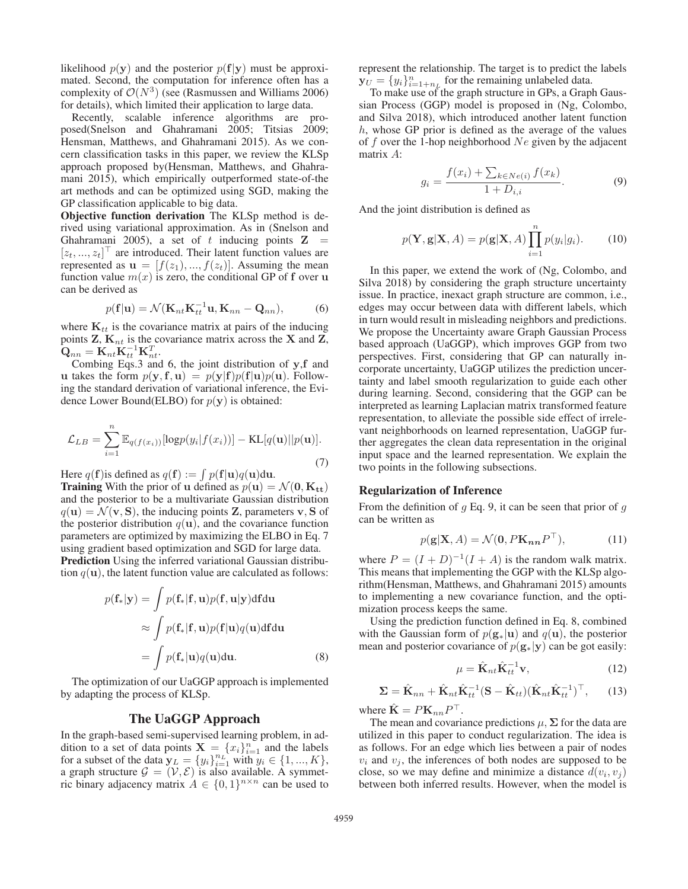likelihood  $p(y)$  and the posterior  $p(f|y)$  must be approximated. Second, the computation for inference often has a complexity of  $\mathcal{O}(N^3)$  (see (Rasmussen and Williams 2006) for details), which limited their application to large data.

Recently, scalable inference algorithms are proposed(Snelson and Ghahramani 2005; Titsias 2009; Hensman, Matthews, and Ghahramani 2015). As we concern classification tasks in this paper, we review the KLSp approach proposed by(Hensman, Matthews, and Ghahramani 2015), which empirically outperformed state-of-the art methods and can be optimized using SGD, making the GP classification applicable to big data.

Objective function derivation The KLSp method is derived using variational approximation. As in (Snelson and Ghahramani 2005), a set of t inducing points  $Z =$  $[z_t, ..., z_t]$ <sup> $\perp$ </sup> are introduced. Their latent function values are represented as  $\mathbf{u} = [f(z_1),..., f(z_t)]$ . Assuming the mean function value  $m(x)$  is zero, the conditional GP of f over **u** can be derived as

$$
p(\mathbf{f}|\mathbf{u}) = \mathcal{N}(\mathbf{K}_{nt}\mathbf{K}_{tt}^{-1}\mathbf{u}, \mathbf{K}_{nn} - \mathbf{Q}_{nn}),
$$
 (6)

where  $\mathbf{K}_{tt}$  is the covariance matrix at pairs of the inducing points  $Z$ ,  $K_{nt}$  is the covariance matrix across the  $X$  and  $Z$ ,  $\mathbf{Q}_{nn} = \mathbf{K}_{nt} \mathbf{K}_{tt}^{-1} \mathbf{K}_{nt}^T.$  Combing Eqs 3 and

Combing Eqs.3 and 6, the joint distribution of **y**,**f** and **u** takes the form  $p(\mathbf{y}, \mathbf{f}, \mathbf{u}) = p(\mathbf{y}|\mathbf{f})p(\mathbf{f}|\mathbf{u})p(\mathbf{u})$ . Following the standard derivation of variational inference, the Evidence Lower Bound(ELBO) for  $p(y)$  is obtained:

$$
\mathcal{L}_{LB} = \sum_{i=1}^{n} \mathbb{E}_{q(f(x_i))}[\log p(y_i|f(x_i))] - \text{KL}[q(\mathbf{u})||p(\mathbf{u})].
$$
\n(7)

Here  $q(\mathbf{f})$  is defined as  $q(\mathbf{f}) := \int p(\mathbf{f}|\mathbf{u})q(\mathbf{u})d\mathbf{u}$ .

**Training** With the prior of **u** defined as  $p(\mathbf{u}) = \mathcal{N}(\mathbf{0}, \mathbf{K}_{\text{tt}})$ and the posterior to be a multivariate Gaussian distribution  $q(\mathbf{u}) = \mathcal{N}(\mathbf{v}, \mathbf{S})$ , the inducing points **Z**, parameters **v**, **S** of the posterior distribution  $q(\mathbf{u})$ , and the covariance function parameters are optimized by maximizing the ELBO in Eq. 7 using gradient based optimization and SGD for large data.

Prediction Using the inferred variational Gaussian distribution  $q(\mathbf{u})$ , the latent function value are calculated as follows:

$$
p(\mathbf{f}_{*}|\mathbf{y}) = \int p(\mathbf{f}_{*}|\mathbf{f}, \mathbf{u})p(\mathbf{f}, \mathbf{u}|\mathbf{y})d\mathbf{f}d\mathbf{u}
$$

$$
\approx \int p(\mathbf{f}_{*}|\mathbf{f}, \mathbf{u})p(\mathbf{f}|\mathbf{u})q(\mathbf{u})d\mathbf{f}d\mathbf{u}
$$

$$
= \int p(\mathbf{f}_{*}|\mathbf{u})q(\mathbf{u})d\mathbf{u}.
$$
 (8)

The optimization of our UaGGP approach is implemented by adapting the process of KLSp.

# The UaGGP Approach

In the graph-based semi-supervised learning problem, in addition to a set of data points  $\mathbf{X} = \{x_i\}_{i=1}^n$  and the labels<br>for a subset of the data  $\mathbf{v}_i = \{y_i\}_{i=1}^n$  with  $y_i \in \{1, K\}$ for a subset of the data  $\mathbf{y}_L = \{y_i\}_{i=1}^{n_L}$  with  $y_i \in \{1, ..., K\}$ ,<br>a graph structure  $G = (\mathcal{V} \mathcal{E})$  is also available. A symmeta graph structure  $\mathcal{G} = (\mathcal{V}, \mathcal{E})$  is also available. A symmetric binary adjacency matrix  $A \in \{0,1\}^{n \times n}$  can be used to represent the relationship. The target is to predict the labels  $\mathbf{y}_U = \{y_i\}_{i=1+n_L}^n$  for the remaining unlabeled data.<br>To make use of the graph structure in GPs a Graph

To make use of the graph structure in GPs, a Graph Gaussian Process (GGP) model is proposed in (Ng, Colombo, and Silva 2018), which introduced another latent function  $h$ , whose GP prior is defined as the average of the values of  $f$  over the 1-hop neighborhood  $Ne$  given by the adjacent matrix A:

$$
g_i = \frac{f(x_i) + \sum_{k \in Ne(i)} f(x_k)}{1 + D_{i,i}}.
$$
 (9)

And the joint distribution is defined as

$$
p(\mathbf{Y}, \mathbf{g}|\mathbf{X}, A) = p(\mathbf{g}|\mathbf{X}, A) \prod_{i=1}^{n} p(y_i|g_i).
$$
 (10)

In this paper, we extend the work of (Ng, Colombo, and Silva 2018) by considering the graph structure uncertainty issue. In practice, inexact graph structure are common, i.e., edges may occur between data with different labels, which in turn would result in misleading neighbors and predictions. We propose the Uncertainty aware Graph Gaussian Process based approach (UaGGP), which improves GGP from two perspectives. First, considering that GP can naturally incorporate uncertainty, UaGGP utilizes the prediction uncertainty and label smooth regularization to guide each other during learning. Second, considering that the GGP can be interpreted as learning Laplacian matrix transformed feature representation, to alleviate the possible side effect of irrelevant neighborhoods on learned representation, UaGGP further aggregates the clean data representation in the original input space and the learned representation. We explain the two points in the following subsections.

## Regularization of Inference

From the definition of  $q$  Eq. 9, it can be seen that prior of  $q$ can be written as

$$
p(\mathbf{g}|\mathbf{X}, A) = \mathcal{N}(\mathbf{0}, P\mathbf{K}_{nn}P^{\top}),
$$
 (11)

where  $P = (I + D)^{-1}(I + A)$  is the random walk matrix. This means that implementing the GGP with the KLSp algorithm(Hensman, Matthews, and Ghahramani 2015) amounts to implementing a new covariance function, and the optimization process keeps the same.

Using the prediction function defined in Eq. 8, combined with the Gaussian form of  $p(\mathbf{g}_*|\mathbf{u})$  and  $q(\mathbf{u})$ , the posterior mean and posterior covariance of  $p(\mathbf{g}_*|\mathbf{y})$  can be got easily:

$$
\mu = \hat{\mathbf{K}}_{nt} \hat{\mathbf{K}}_{tt}^{-1} \mathbf{v},\tag{12}
$$

$$
\Sigma = \hat{\mathbf{K}}_{nn} + \hat{\mathbf{K}}_{nt}\hat{\mathbf{K}}_{tt}^{-1}(\mathbf{S} - \hat{\mathbf{K}}_{tt})(\hat{\mathbf{K}}_{nt}\hat{\mathbf{K}}_{tt}^{-1})^{\top},\qquad(13)
$$

where  $\mathbf{K} = P \mathbf{K}_{nn} P^{\dagger}$ .

The mean and covariance predictions  $\mu$ ,  $\Sigma$  for the data are utilized in this paper to conduct regularization. The idea is as follows. For an edge which lies between a pair of nodes  $v_i$  and  $v_j$ , the inferences of both nodes are supposed to be close, so we may define and minimize a distance  $d(v_i, v_j)$ between both inferred results. However, when the model is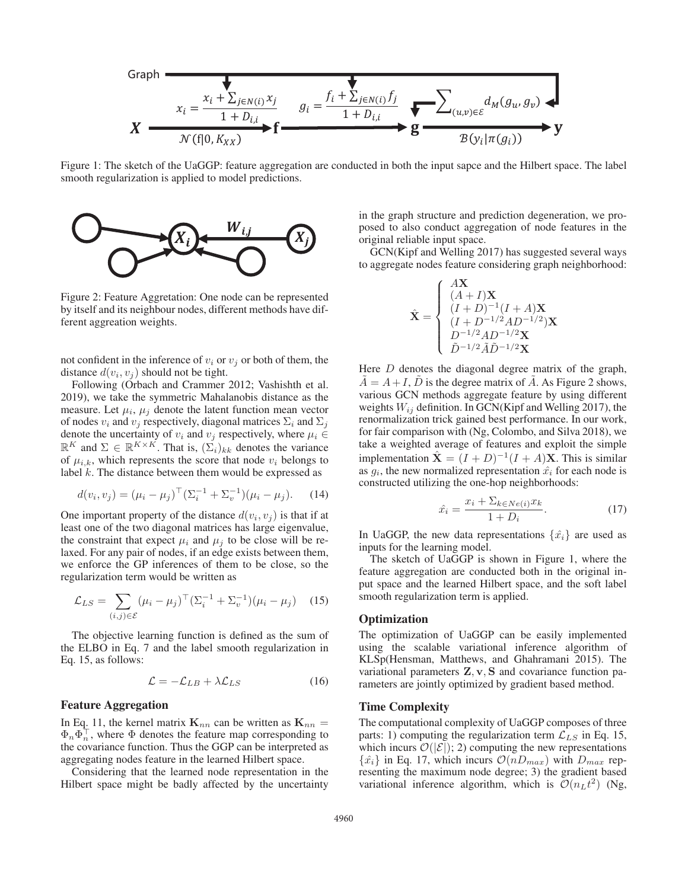Graph  
\n
$$
x_{i} = \frac{x_{i} + \sum_{j \in N(i)} x_{j}}{1 + D_{i,i}} \qquad g_{i} = \frac{f_{i} + \sum_{j \in N(i)} f_{j}}{1 + D_{i,i}} \qquad g_{i} = \frac{f_{i} + \sum_{j \in N(i)} f_{j}}{1 + D_{i,i}} \qquad g_{i} = \frac{\sum_{(u,v) \in \mathcal{E}} d_{M}(g_{u}, g_{v})}{B(y_{i} | \pi(g_{i}))} \qquad y
$$

Figure 1: The sketch of the UaGGP: feature aggregation are conducted in both the input sapce and the Hilbert space. The label smooth regularization is applied to model predictions.



Figure 2: Feature Aggretation: One node can be represented by itself and its neighbour nodes, different methods have different aggreation weights.

not confident in the inference of  $v_i$  or  $v_j$  or both of them, the distance  $d(v_i, v_j)$  should not be tight.

Following (Orbach and Crammer 2012; Vashishth et al. 2019), we take the symmetric Mahalanobis distance as the measure. Let  $\mu_i$ ,  $\mu_j$  denote the latent function mean vector of nodes  $v_i$  and  $v_j$  respectively, diagonal matrices  $\Sigma_i$  and  $\Sigma_j$ denote the uncertainty of  $v_i$  and  $v_j$  respectively, where  $\mu_i \in$  $\mathbb{R}^K$  and  $\Sigma \in \mathbb{R}^{K \times K}$ . That is,  $(\Sigma_i)_{kk}$  denotes the variance of  $\mu_{i,k}$ , which represents the score that node  $v_i$  belongs to label  $k$ . The distance between them would be expressed as

$$
d(v_i, v_j) = (\mu_i - \mu_j)^{\top} (\Sigma_i^{-1} + \Sigma_v^{-1}) (\mu_i - \mu_j). \tag{14}
$$

One important property of the distance  $d(v_i, v_j)$  is that if at least one of the two diagonal matrices has large eigenvalue, the constraint that expect  $\mu_i$  and  $\mu_j$  to be close will be relaxed. For any pair of nodes, if an edge exists between them, we enforce the GP inferences of them to be close, so the regularization term would be written as

$$
\mathcal{L}_{LS} = \sum_{(i,j)\in\mathcal{E}} (\mu_i - \mu_j)^{\top} (\Sigma_i^{-1} + \Sigma_v^{-1}) (\mu_i - \mu_j)
$$
 (15)

The objective learning function is defined as the sum of the ELBO in Eq. 7 and the label smooth regularization in Eq. 15, as follows:

$$
\mathcal{L} = -\mathcal{L}_{LB} + \lambda \mathcal{L}_{LS} \tag{16}
$$

## Feature Aggregation

In Eq. 11, the kernel matrix  $\mathbf{K}_{nn}$  can be written as  $\mathbf{K}_{nn}$  =  $\Phi_n \Phi_n^{\dagger}$ , where  $\Phi$  denotes the feature map corresponding to the covariance function. Thus the GGP can be interpreted as aggregating nodes feature in the learned Hilbert space.

Considering that the learned node representation in the Hilbert space might be badly affected by the uncertainty in the graph structure and prediction degeneration, we proposed to also conduct aggregation of node features in the original reliable input space.

GCN(Kipf and Welling 2017) has suggested several ways to aggregate nodes feature considering graph neighborhood:

$$
\hat{\mathbf{X}} = \begin{cases}\nA\mathbf{X} \\
(A+I)\mathbf{X} \\
(I+D)^{-1}(I+A)\mathbf{X} \\
(I+D^{-1/2}AD^{-1/2})\mathbf{X} \\
D^{-1/2}AD^{-1/2}\mathbf{X} \\
\tilde{D}^{-1/2}\tilde{A}\tilde{D}^{-1/2}\mathbf{X}\n\end{cases}
$$

Here  $D$  denotes the diagonal degree matrix of the graph,  $\tilde{A} = A + I$ ,  $\tilde{D}$  is the degree matrix of  $\tilde{A}$ . As Figure 2 shows, various GCN methods aggregate feature by using different weights  $W_{ij}$  definition. In GCN(Kipf and Welling 2017), the renormalization trick gained best performance. In our work, for fair comparison with (Ng, Colombo, and Silva 2018), we take a weighted average of features and exploit the simple implementation  $\hat{\mathbf{X}} = (I + D)^{-1}(I + A)\mathbf{X}$ . This is similar as  $q_i$ , the new normalized representation  $\hat{x}_i$  for each node is constructed utilizing the one-hop neighborhoods:

$$
\hat{x}_i = \frac{x_i + \sum_{k \in Ne(i)} x_k}{1 + D_i}.
$$
\n(17)

In UaGGP, the new data representations  $\{\hat{x}_i\}$  are used as inputs for the learning model.

The sketch of UaGGP is shown in Figure 1, where the feature aggregation are conducted both in the original input space and the learned Hilbert space, and the soft label smooth regularization term is applied.

#### **Optimization**

The optimization of UaGGP can be easily implemented using the scalable variational inference algorithm of KLSp(Hensman, Matthews, and Ghahramani 2015). The variational parameters **Z**, **v**, **S** and covariance function parameters are jointly optimized by gradient based method.

#### Time Complexity

The computational complexity of UaGGP composes of three parts: 1) computing the regularization term  $\mathcal{L}_{LS}$  in Eq. 15, which incurs  $\mathcal{O}(|\mathcal{E}|)$ ; 2) computing the new representations  $\{\hat{x}_i\}$  in Eq. 17, which incurs  $\mathcal{O}(nD_{max})$  with  $D_{max}$  representing the maximum node degree; 3) the gradient based variational inference algorithm, which is  $\mathcal{O}(n_L t^2)$  (Ng,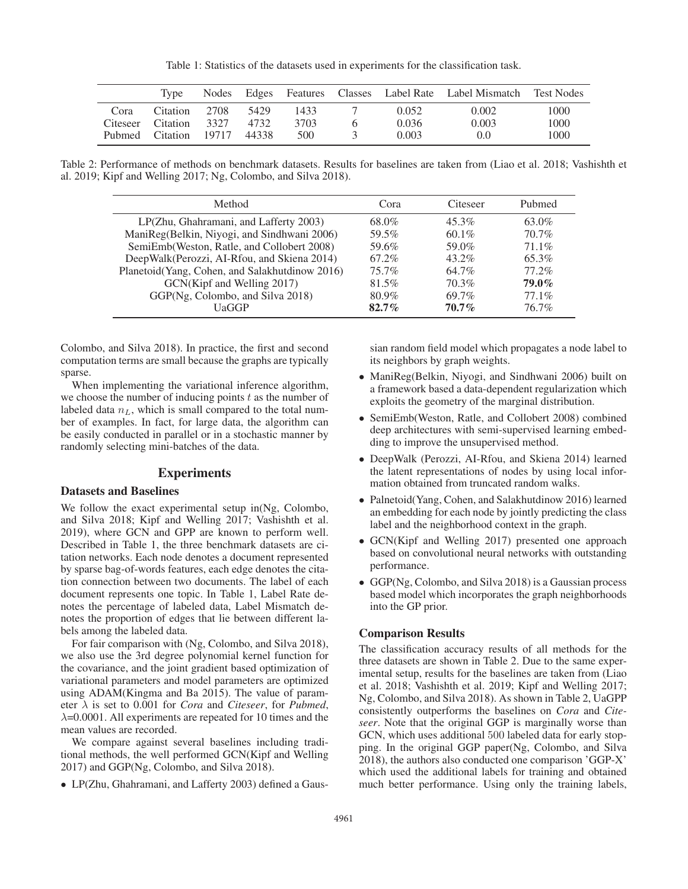Table 1: Statistics of the datasets used in experiments for the classification task.

|                   | Type                  | Nodes |       |       |              |       | Edges Features Classes Label Rate Label Mismatch Test Nodes |      |
|-------------------|-----------------------|-------|-------|-------|--------------|-------|-------------------------------------------------------------|------|
| Cora              | <b>Citation</b>       | 2708  | 5429  | 1433. |              | 0.052 | 0.002                                                       | 1000 |
| Citeseer Citation |                       | 3327  | 4732  | 3703. | <sub>6</sub> | 0.036 | 0.003                                                       | 1000 |
|                   | Pubmed Citation 19717 |       | 44338 | 500   |              | 0.003 | (0.0)                                                       | 1000 |

Table 2: Performance of methods on benchmark datasets. Results for baselines are taken from (Liao et al. 2018; Vashishth et al. 2019; Kipf and Welling 2017; Ng, Colombo, and Silva 2018).

| Method                                         | Cora     | Citeseer | Pubmed   |
|------------------------------------------------|----------|----------|----------|
| LP(Zhu, Ghahramani, and Lafferty 2003)         | 68.0%    | 45.3%    | 63.0%    |
| ManiReg(Belkin, Niyogi, and Sindhwani 2006)    | 59.5%    | $60.1\%$ | $70.7\%$ |
| SemiEmb(Weston, Ratle, and Collobert 2008)     | 59.6%    | 59.0%    | $71.1\%$ |
| DeepWalk(Perozzi, AI-Rfou, and Skiena 2014)    | 67.2%    | $43.2\%$ | 65.3%    |
| Planetoid(Yang, Cohen, and Salakhutdinow 2016) | $75.7\%$ | 64.7%    | $77.2\%$ |
| GCN(Kipf and Welling 2017)                     | 81.5%    | 70.3%    | $79.0\%$ |
| GGP(Ng, Colombo, and Silva 2018)               | 80.9%    | 69.7%    | $77.1\%$ |
| <b>UaGGP</b>                                   | $82.7\%$ | $70.7\%$ | 76.7%    |

Colombo, and Silva 2018). In practice, the first and second computation terms are small because the graphs are typically sparse.

When implementing the variational inference algorithm, we choose the number of inducing points  $t$  as the number of labeled data  $n<sub>L</sub>$ , which is small compared to the total number of examples. In fact, for large data, the algorithm can be easily conducted in parallel or in a stochastic manner by randomly selecting mini-batches of the data.

## Experiments

# Datasets and Baselines

We follow the exact experimental setup in (Ng, Colombo, and Silva 2018; Kipf and Welling 2017; Vashishth et al. 2019), where GCN and GPP are known to perform well. Described in Table 1, the three benchmark datasets are citation networks. Each node denotes a document represented by sparse bag-of-words features, each edge denotes the citation connection between two documents. The label of each document represents one topic. In Table 1, Label Rate denotes the percentage of labeled data, Label Mismatch denotes the proportion of edges that lie between different labels among the labeled data.

For fair comparison with (Ng, Colombo, and Silva 2018), we also use the 3rd degree polynomial kernel function for the covariance, and the joint gradient based optimization of variational parameters and model parameters are optimized using ADAM(Kingma and Ba 2015). The value of parameter λ is set to 0.001 for *Cora* and *Citeseer*, for *Pubmed*,  $\lambda$ =0.0001. All experiments are repeated for 10 times and the mean values are recorded.

We compare against several baselines including traditional methods, the well performed GCN(Kipf and Welling 2017) and GGP(Ng, Colombo, and Silva 2018).

• LP(Zhu, Ghahramani, and Lafferty 2003) defined a Gaus-

sian random field model which propagates a node label to its neighbors by graph weights.

- ManiReg(Belkin, Niyogi, and Sindhwani 2006) built on a framework based a data-dependent regularization which exploits the geometry of the marginal distribution.
- SemiEmb(Weston, Ratle, and Collobert 2008) combined deep architectures with semi-supervised learning embedding to improve the unsupervised method.
- DeepWalk (Perozzi, AI-Rfou, and Skiena 2014) learned the latent representations of nodes by using local information obtained from truncated random walks.
- Palnetoid(Yang, Cohen, and Salakhutdinow 2016) learned an embedding for each node by jointly predicting the class label and the neighborhood context in the graph.
- GCN(Kipf and Welling 2017) presented one approach based on convolutional neural networks with outstanding performance.
- GGP(Ng, Colombo, and Silva 2018) is a Gaussian process based model which incorporates the graph neighborhoods into the GP prior.

## Comparison Results

The classification accuracy results of all methods for the three datasets are shown in Table 2. Due to the same experimental setup, results for the baselines are taken from (Liao et al. 2018; Vashishth et al. 2019; Kipf and Welling 2017; Ng, Colombo, and Silva 2018). As shown in Table 2, UaGPP consistently outperforms the baselines on *Cora* and *Citeseer*. Note that the original GGP is marginally worse than GCN, which uses additional 500 labeled data for early stopping. In the original GGP paper(Ng, Colombo, and Silva 2018), the authors also conducted one comparison 'GGP-X' which used the additional labels for training and obtained much better performance. Using only the training labels,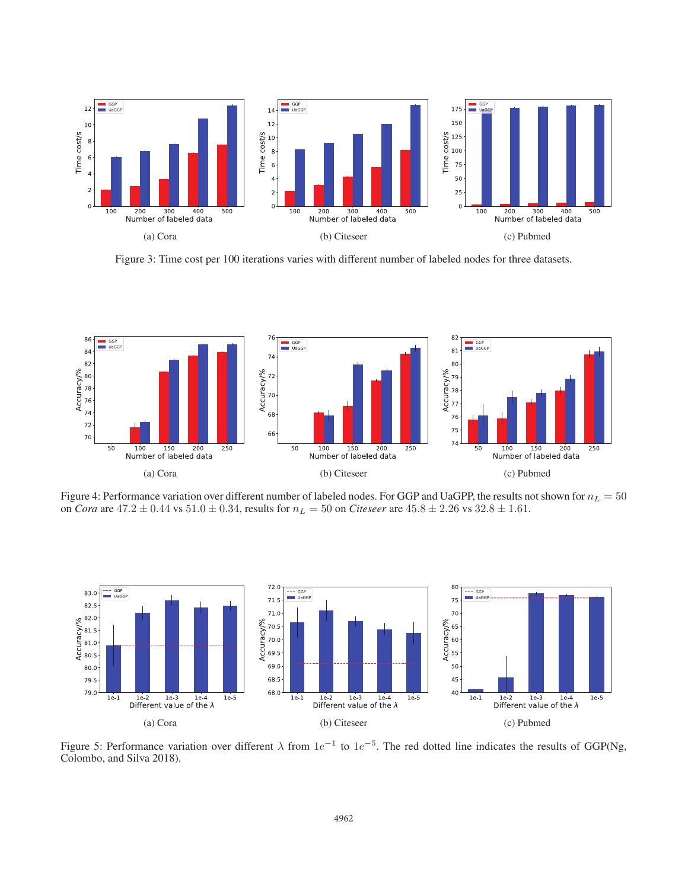

Figure 3: Time cost per 100 iterations varies with different number of labeled nodes for three datasets.



Figure 4: Performance variation over different number of labeled nodes. For GGP and UaGPP, the results not shown for  $n_L = 50$ on *Cora* are  $47.2 \pm 0.44$  vs  $51.0 \pm 0.34$ , results for  $n_L = 50$  on *Citeseer* are  $45.8 \pm 2.26$  vs  $32.8 \pm 1.61$ .



Figure 5: Performance variation over different  $\lambda$  from  $1e^{-1}$  to  $1e^{-5}$ . The red dotted line indicates the results of GGP(Ng, Colombo, and Silva 2018).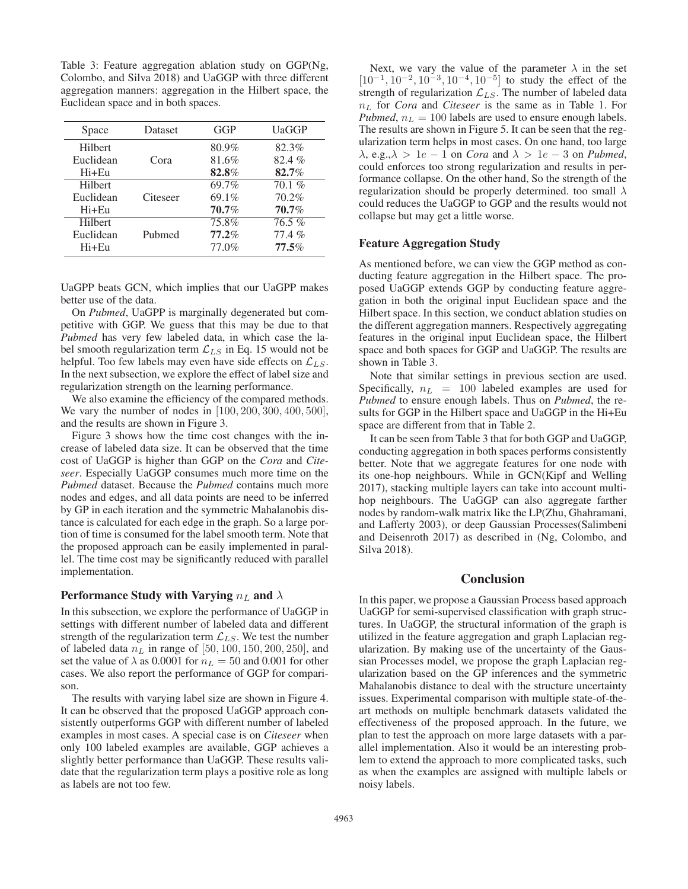Table 3: Feature aggregation ablation study on GGP(Ng, Colombo, and Silva 2018) and UaGGP with three different aggregation manners: aggregation in the Hilbert space, the Euclidean space and in both spaces.

| Space          | Dataset  | GGP      | <b>UaGGP</b> |
|----------------|----------|----------|--------------|
| <b>Hilbert</b> |          | 80.9%    | 82.3%        |
| Euclidean      | Cora     | 81.6%    | 82.4%        |
| $Hi + Eu$      |          | 82.8%    | 82.7%        |
| <b>Hilbert</b> |          | 69.7%    | 70.1%        |
| Euclidean      | Citeseer | 69.1%    | 70.2%        |
| $Hi+Eu$        |          | $70.7\%$ | $70.7\%$     |
| Hilbert        |          | 75.8%    | $76.5\%$     |
| Euclidean      | Pubmed   | 77.2%    | 77.4%        |
| $Hi + Eu$      |          | 77.0%    | 77.5%        |
|                |          |          |              |

UaGPP beats GCN, which implies that our UaGPP makes better use of the data.

On *Pubmed*, UaGPP is marginally degenerated but competitive with GGP. We guess that this may be due to that *Pubmed* has very few labeled data, in which case the label smooth regularization term  $\mathcal{L}_{LS}$  in Eq. 15 would not be helpful. Too few labels may even have side effects on  $\mathcal{L}_{LS}$ . In the next subsection, we explore the effect of label size and regularization strength on the learning performance.

We also examine the efficiency of the compared methods. We vary the number of nodes in [100, 200, 300, 400, 500], and the results are shown in Figure 3.

Figure 3 shows how the time cost changes with the increase of labeled data size. It can be observed that the time cost of UaGGP is higher than GGP on the *Cora* and *Citeseer*. Especially UaGGP consumes much more time on the *Pubmed* dataset. Because the *Pubmed* contains much more nodes and edges, and all data points are need to be inferred by GP in each iteration and the symmetric Mahalanobis distance is calculated for each edge in the graph. So a large portion of time is consumed for the label smooth term. Note that the proposed approach can be easily implemented in parallel. The time cost may be significantly reduced with parallel implementation.

# Performance Study with Varying  $n<sub>L</sub>$  and  $\lambda$

In this subsection, we explore the performance of UaGGP in settings with different number of labeled data and different strength of the regularization term  $\mathcal{L}_{LS}$ . We test the number of labeled data  $n<sub>L</sub>$  in range of [50, 100, 150, 200, 250], and set the value of  $\lambda$  as 0.0001 for  $n_L = 50$  and 0.001 for other cases. We also report the performance of GGP for comparison.

The results with varying label size are shown in Figure 4. It can be observed that the proposed UaGGP approach consistently outperforms GGP with different number of labeled examples in most cases. A special case is on *Citeseer* when only 100 labeled examples are available, GGP achieves a slightly better performance than UaGGP. These results validate that the regularization term plays a positive role as long as labels are not too few.

Next, we vary the value of the parameter  $\lambda$  in the set  $[10^{-1}, 10^{-2}, 10^{-3}, 10^{-4}, 10^{-5}]$  to study the effect of the strength of regularization  $\mathcal{L}_{LS}$ . The number of labeled data  $n<sub>L</sub>$  for *Cora* and *Citeseer* is the same as in Table 1. For *Pubmed*,  $n_L = 100$  labels are used to ensure enough labels. The results are shown in Figure 5. It can be seen that the regularization term helps in most cases. On one hand, too large  $\lambda$ , e.g.,  $\lambda > 1e - 1$  on *Cora* and  $\lambda > 1e - 3$  on *Pubmed*, could enforces too strong regularization and results in performance collapse. On the other hand, So the strength of the regularization should be properly determined. too small  $\lambda$ could reduces the UaGGP to GGP and the results would not collapse but may get a little worse.

## Feature Aggregation Study

As mentioned before, we can view the GGP method as conducting feature aggregation in the Hilbert space. The proposed UaGGP extends GGP by conducting feature aggregation in both the original input Euclidean space and the Hilbert space. In this section, we conduct ablation studies on the different aggregation manners. Respectively aggregating features in the original input Euclidean space, the Hilbert space and both spaces for GGP and UaGGP. The results are shown in Table 3.

Note that similar settings in previous section are used. Specifically,  $n_L = 100$  labeled examples are used for *Pubmed* to ensure enough labels. Thus on *Pubmed*, the results for GGP in the Hilbert space and UaGGP in the Hi+Eu space are different from that in Table 2.

It can be seen from Table 3 that for both GGP and UaGGP, conducting aggregation in both spaces performs consistently better. Note that we aggregate features for one node with its one-hop neighbours. While in GCN(Kipf and Welling 2017), stacking multiple layers can take into account multihop neighbours. The UaGGP can also aggregate farther nodes by random-walk matrix like the LP(Zhu, Ghahramani, and Lafferty 2003), or deep Gaussian Processes(Salimbeni and Deisenroth 2017) as described in (Ng, Colombo, and Silva 2018).

## **Conclusion**

In this paper, we propose a Gaussian Process based approach UaGGP for semi-supervised classification with graph structures. In UaGGP, the structural information of the graph is utilized in the feature aggregation and graph Laplacian regularization. By making use of the uncertainty of the Gaussian Processes model, we propose the graph Laplacian regularization based on the GP inferences and the symmetric Mahalanobis distance to deal with the structure uncertainty issues. Experimental comparison with multiple state-of-theart methods on multiple benchmark datasets validated the effectiveness of the proposed approach. In the future, we plan to test the approach on more large datasets with a parallel implementation. Also it would be an interesting problem to extend the approach to more complicated tasks, such as when the examples are assigned with multiple labels or noisy labels.